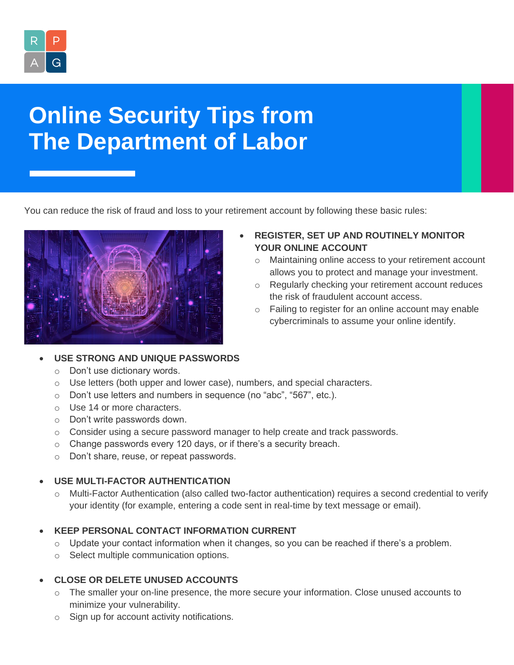

# **Online Security Tips from The Department of Labor**

You can reduce the risk of fraud and loss to your retirement account by following these basic rules:



## • **REGISTER, SET UP AND ROUTINELY MONITOR YOUR ONLINE ACCOUNT**

- o Maintaining online access to your retirement account allows you to protect and manage your investment.
- o Regularly checking your retirement account reduces the risk of fraudulent account access.
- o Failing to register for an online account may enable cybercriminals to assume your online identify.

## • **USE STRONG AND UNIQUE PASSWORDS**

- o Don't use dictionary words.
- o Use letters (both upper and lower case), numbers, and special characters.
- o Don't use letters and numbers in sequence (no "abc", "567", etc.).
- o Use 14 or more characters.
- o Don't write passwords down.
- $\circ$  Consider using a secure password manager to help create and track passwords.
- o Change passwords every 120 days, or if there's a security breach.
- o Don't share, reuse, or repeat passwords.

## • **USE MULTI-FACTOR AUTHENTICATION**

o Multi-Factor Authentication (also called two-factor authentication) requires a second credential to verify your identity (for example, entering a code sent in real-time by text message or email).

# • **KEEP PERSONAL CONTACT INFORMATION CURRENT**

- $\circ$  Update your contact information when it changes, so you can be reached if there's a problem.
- o Select multiple communication options.

# • **CLOSE OR DELETE UNUSED ACCOUNTS**

- $\circ$  The smaller your on-line presence, the more secure your information. Close unused accounts to minimize your vulnerability.
- o Sign up for account activity notifications.